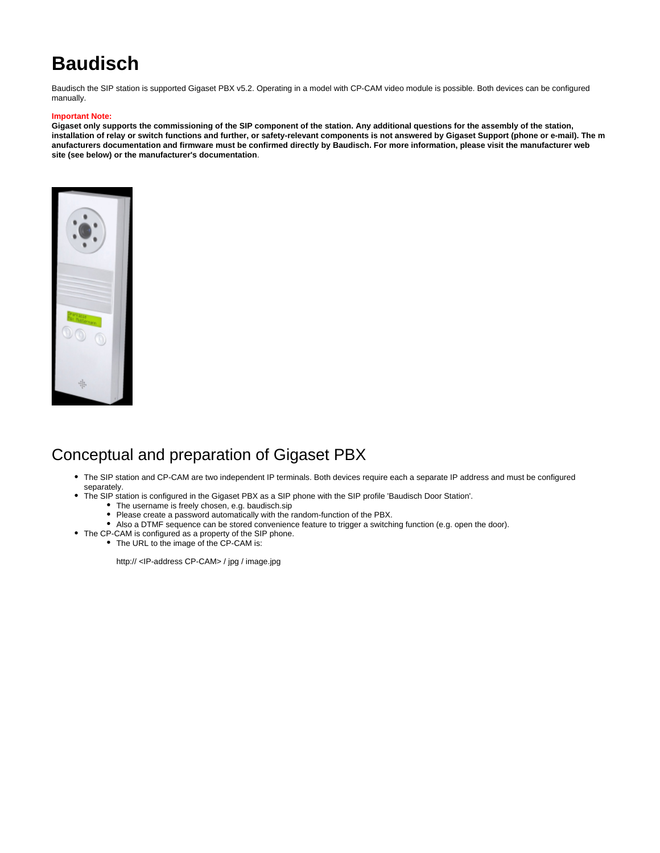# **Baudisch**

Baudisch the SIP station is supported Gigaset PBX v5.2. Operating in a model with CP-CAM video module is possible. Both devices can be configured manually.

#### **Important Note:**

**Gigaset only supports the commissioning of the SIP component of the station. Any additional questions for the assembly of the station, installation of relay or switch functions and further, or safety-relevant components is not answered by Gigaset Support (phone or e-mail). The m anufacturers documentation and firmware must be confirmed directly by Baudisch. For more information, please visit the manufacturer web site (see below) or the manufacturer's documentation**.



## Conceptual and preparation of Gigaset PBX

- The SIP station and CP-CAM are two independent IP terminals. Both devices require each a separate IP address and must be configured separately.
- The SIP station is configured in the Gigaset PBX as a SIP phone with the SIP profile 'Baudisch Door Station'.
	- The username is freely chosen, e.g. baudisch.sip
	- Please create a password automatically with the random-function of the PBX.
	- Also a DTMF sequence can be stored convenience feature to trigger a switching function (e.g. open the door).
- The CP-CAM is configured as a property of the SIP phone.
- The URL to the image of the CP-CAM is:

http:// <IP-address CP-CAM> / jpg / image.jpg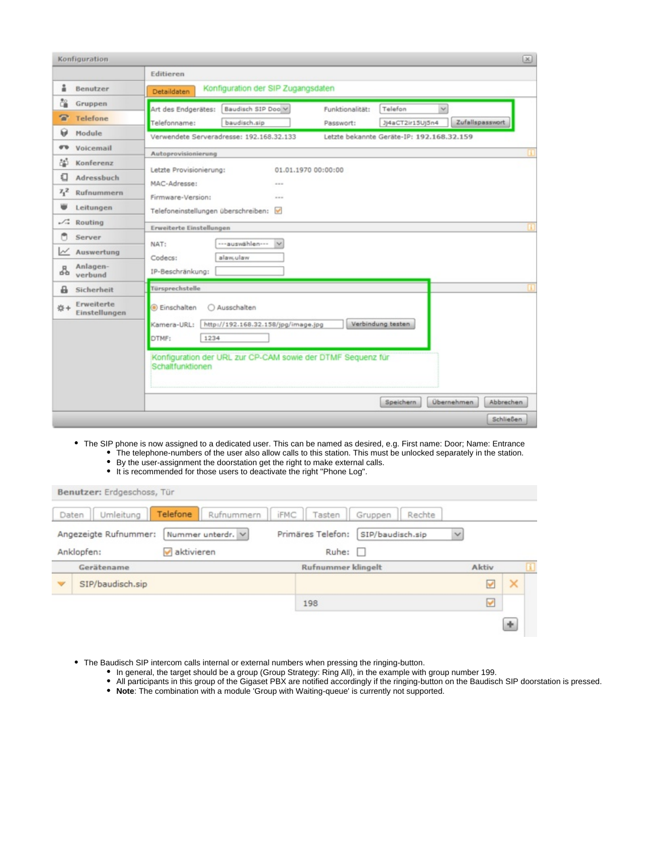| Konfiguration |                             |                                         |                                          |                    |                                                             |                   |              |                                |
|---------------|-----------------------------|-----------------------------------------|------------------------------------------|--------------------|-------------------------------------------------------------|-------------------|--------------|--------------------------------|
|               |                             | Editieren                               |                                          |                    |                                                             |                   |              |                                |
| å             | Benutzer                    | Detaildaten                             | Konfiguration der SIP Zugangsdaten       |                    |                                                             |                   |              |                                |
| ិ≚            | Gruppen                     | Art des Endgerätes:                     |                                          | Baudisch SIP Doo V | Funktionalität:                                             | Telefon           | $\checkmark$ |                                |
| a             | Telefone                    | Telefonname:                            | baudisch.sip                             |                    | Passwort:                                                   | Jj4aCT2ir15Uj5n4  |              | Zufallspasswort                |
| Θ             | Module                      |                                         | Verwendete Serveradresse: 192.168.32.133 |                    | Letzte bekannte Geräte-IP: 192.168.32.159                   |                   |              |                                |
| எ             | Voicemail                   | Autoprovisionierung                     |                                          |                    |                                                             |                   |              |                                |
| òĎ.           | Konferenz                   |                                         |                                          |                    |                                                             |                   |              |                                |
| €             | Adressbuch                  | Letzte Provisionierung:<br>MAC-Adresse: |                                          |                    | 01.01.1970 00:00:00                                         |                   |              |                                |
| $7^{2}_{1}$   | Rufnummern                  | Firmware-Version:                       |                                          | <br>---            |                                                             |                   |              |                                |
|               | Leitungen                   |                                         | Telefoneinstellungen überschreiben:      |                    |                                                             |                   |              |                                |
| L             | Routing                     |                                         |                                          |                    |                                                             |                   |              |                                |
|               | Server                      | Erweiterte Einstellungen                |                                          |                    |                                                             |                   |              |                                |
| W             | Auswertung                  | NAT:                                    | ---auswählen---                          | $\checkmark$       |                                                             |                   |              |                                |
| 쭙             | Anlagen-<br>verbund         | Codecs:<br>IP-Beschränkung:             | alaw.ulaw                                |                    |                                                             |                   |              |                                |
| a             | Sicherheit                  | Türsprechstelle                         |                                          |                    |                                                             |                   |              |                                |
| <b>卷+</b>     | Erweiterte<br>Einstellungen | <b>I</b> Einschalten                    | ○ Ausschalten                            |                    |                                                             |                   |              |                                |
|               |                             | Kamera-URL:                             | http://192.168.32.158/jpg/image.jpg      |                    |                                                             | Verbindung testen |              |                                |
|               |                             | DTMF:                                   | 1234                                     |                    |                                                             |                   |              |                                |
|               |                             | Schaltfunktionen                        |                                          |                    | Konfiguration der URL zur CP-CAM sowie der DTMF Sequenz für |                   |              |                                |
|               |                             |                                         |                                          |                    |                                                             | <b>Speichern</b>  |              | Übernehmen<br><b>Abbrechen</b> |
|               |                             |                                         |                                          |                    |                                                             |                   |              | Schließen                      |

- The SIP phone is now assigned to a dedicated user. This can be named as desired, e.g. First name: Door; Name: Entrance The telephone-numbers of the user also allow calls to this station. This must be unlocked separately in the station.
	- By the user-assignment the doorstation get the right to make external calls. • It is recommended for those users to deactivate the right "Phone Log".
	-

| Daten | Umleitung<br>Angezeigte Rufnummer: | Telefone<br>Rufnummern<br>Nummer unterdr. V | <b>iFMC</b><br>Tasten<br>Primäres Telefon: | Rechte<br>Gruppen<br>SIP/baudisch.sip | $\checkmark$ |          |
|-------|------------------------------------|---------------------------------------------|--------------------------------------------|---------------------------------------|--------------|----------|
|       | Anklopfen:                         | aktivieren                                  | Rule:                                      |                                       |              |          |
|       | Gerätename                         |                                             | <b>Rufnummer klingelt</b>                  |                                       | Aktiv        |          |
|       | SIP/baudisch.sip                   |                                             |                                            |                                       |              | $\times$ |
|       |                                    |                                             | 198                                        |                                       | v            |          |

- The Baudisch SIP intercom calls internal or external numbers when pressing the ringing-button.
	- In general, the target should be a group (Group Strategy: Ring All), in the example with group number 199.
	- All participants in this group of the Gigaset PBX are notified accordingly if the ringing-button on the Baudisch SIP doorstation is pressed.
	- **Note**: The combination with a module 'Group with Waiting-queue' is currently not supported.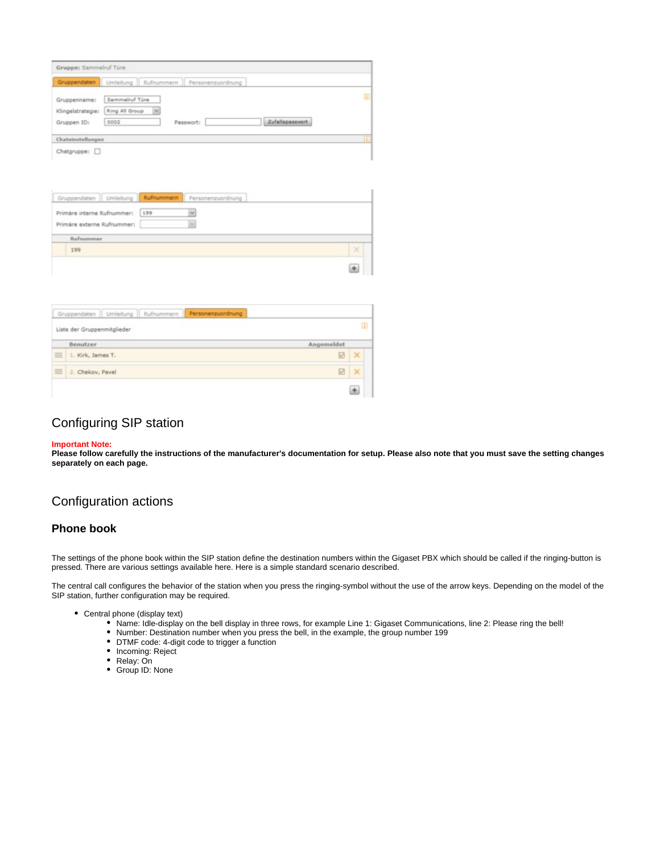|                | Umleitung Rufnummern Personenzuordnung |                 |    |
|----------------|----------------------------------------|-----------------|----|
| Sammelruf Türe |                                        |                 | B. |
| Ring All Group |                                        |                 |    |
| 0002           | Passwort:                              | Zufallspasswort |    |
|                |                                        |                 |    |
|                |                                        |                 |    |

| Gruppendaten Umleitung Rufnummern Personenzuordnung                  |          |
|----------------------------------------------------------------------|----------|
| Primäre interne Rufnummer:<br>199<br>v<br>Primäre externe Rufnummer: |          |
| <b>Rufnummer</b>                                                     |          |
| 199                                                                  | $\times$ |
|                                                                      | 庚        |

| Liste der Gruppenmitglieder   |            | Œ        |
|-------------------------------|------------|----------|
| Benutzer                      | Angemeldet |          |
| $\equiv$<br>1. Kirk, James T. | w          | ×        |
| $\equiv$<br>2. Chekov, Pavel  | ☑          | $\times$ |

## Configuring SIP station

#### **Important Note:**

**Please follow carefully the instructions of the manufacturer's documentation for setup. Please also note that you must save the setting changes separately on each page.**

## Configuration actions

#### **Phone book**

The settings of the phone book within the SIP station define the destination numbers within the Gigaset PBX which should be called if the ringing-button is pressed. There are various settings available here. Here is a simple standard scenario described.

The central call configures the behavior of the station when you press the ringing-symbol without the use of the arrow keys. Depending on the model of the SIP station, further configuration may be required.

- Central phone (display text)
	- Name: Idle-display on the bell display in three rows, for example Line 1: Gigaset Communications, line 2: Please ring the bell!
	- Number: Destination number when you press the bell, in the example, the group number 199
	- DTMF code: 4-digit code to trigger a function
	- Incoming: Reject
	- Relay: On
	- Group ID: None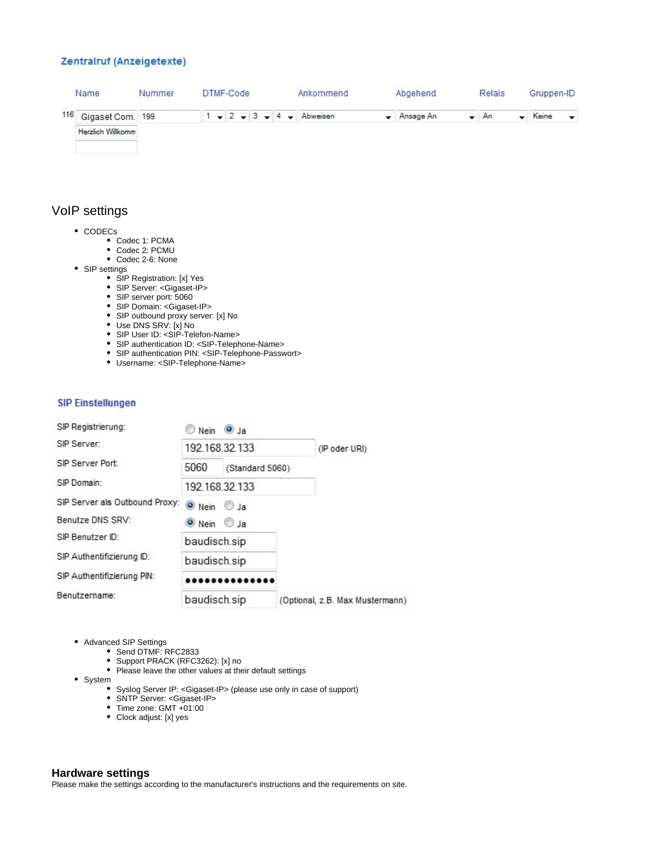## Zentralruf (Anzeigetexte)

| Name                 | Nummer |  | DTMF-Code |  |  |  | Ankommend                  | Abgehend                        | Relais | Gruppen-ID |                          |
|----------------------|--------|--|-----------|--|--|--|----------------------------|---------------------------------|--------|------------|--------------------------|
| 116 Gigaset Com. 199 |        |  |           |  |  |  | $1 - 2 - 3 - 4 -$ Abweisen | $\blacktriangleright$ Ansage An | $- An$ | Keine      | $\overline{\phantom{a}}$ |
| Herzlich Willkomm    |        |  |           |  |  |  |                            |                                 |        |            |                          |
|                      |        |  |           |  |  |  |                            |                                 |        |            |                          |

## VoIP settings

- CODECs
	- Codec 1: PCMA
	- Codec 2: PCMU
	- Codec 2-6: None
- SIP settings
	- SIP Registration: [x] Yes
	- SIP Server: <Gigaset-IP>
	- SIP server port: 5060
	- SIP Domain: <Gigaset-IP>
	- SIP outbound proxy server: [x] No
	- Use DNS SRV: [x] No
	- SIP User ID: <SIP-Telefon-Name>
	- SIP authentication ID: <SIP-Telephone-Name>
	- SIP authentication PIN: <SIP-Telephone-Passwort>
	- Username: <SIP-Telephone-Name>

## **SIP Einstellungen**

| SIP Registrierung:             | $\circ$ Nein $\circ$ Ja     |                 |                                 |
|--------------------------------|-----------------------------|-----------------|---------------------------------|
| SIP Server:                    | 192.168.32.133              |                 | (IP oder URI)                   |
| SIP Server Port:               | 5060                        | (Standard 5060) |                                 |
| SIP Domain:                    | 192 168 32 133              |                 |                                 |
| SIP Server als Outbound Proxy: | $\bullet$ Nein $\circ$ Ja   |                 |                                 |
| Benutze DNS SRV:               | $\bullet$ Nein $\bullet$ Ja |                 |                                 |
| SIP Benutzer ID:               | baudisch.sip                |                 |                                 |
| SIP Authentifizierung ID:      | baudisch.sip                |                 |                                 |
| SIP Authentifizierung PIN:     |                             |                 |                                 |
| Benutzername:                  | baudisch.sip                |                 | (Optional, z.B. Max Mustermann) |

- Advanced SIP Settings
	- Send DTMF: RFC2833
	- Support PRACK (RFC3262): [x] no
	- Please leave the other values at their default settings
- System
	- Syslog Server IP: <Gigaset-IP> (please use only in case of support)
	- SNTP Server: <Gigaset-IP>
	- Time zone: GMT +01:00
	- Clock adjust: [x] yes

## **Hardware settings**

Please make the settings according to the manufacturer's instructions and the requirements on site.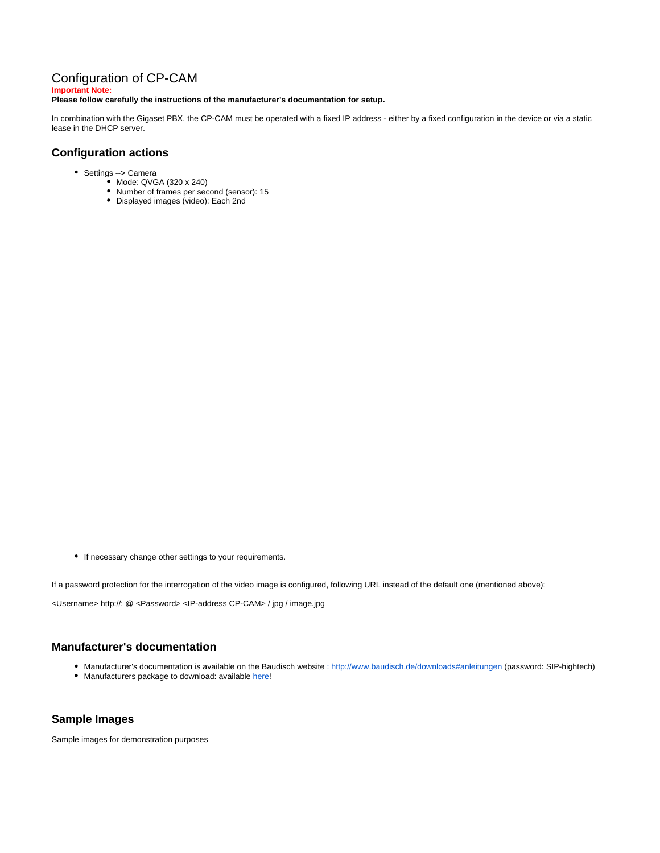## Configuration of CP-CAM

**Important Note:**

#### **Please follow carefully the instructions of the manufacturer's documentation for setup.**

In combination with the Gigaset PBX, the CP-CAM must be operated with a fixed IP address - either by a fixed configuration in the device or via a static lease in the DHCP server.

## **Configuration actions**

- Settings --> Camera
	- Mode: QVGA (320 x 240)
	- Number of frames per second (sensor): 15 Displayed images (video): Each 2nd

• If necessary change other settings to your requirements.

If a password protection for the interrogation of the video image is configured, following URL instead of the default one (mentioned above):

<Username> http://: @ <Password> <IP-address CP-CAM> / jpg / image.jpg

### **Manufacturer's documentation**

- Manufacturer's documentation is available on the Baudisch website : http://www.baudisch.de/downloads#anleitungen (password: SIP-hightech)
- Manufacturers package to download: available [here!](https://teamwork.gigaset.com/gigawiki/download/attachments/7405644/Baudisch-Package-20120525.zip?version=1&modificationDate=1359731830000&api=v2)

### **Sample Images**

Sample images for demonstration purposes